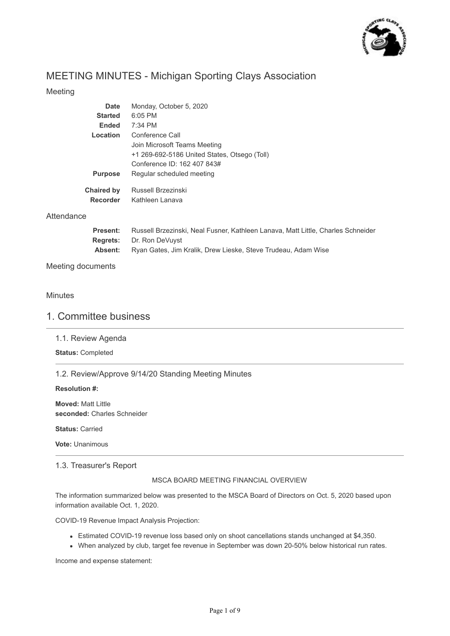

# MEETING MINUTES - Michigan Sporting Clays Association

## Meeting

| Date              | Monday, October 5, 2020                      |
|-------------------|----------------------------------------------|
| <b>Started</b>    | $6:05$ PM                                    |
| <b>Ended</b>      | $7:34$ PM                                    |
| Location          | Conference Call                              |
|                   | Join Microsoft Teams Meeting                 |
|                   | +1 269-692-5186 United States, Otsego (Toll) |
|                   | Conference ID: 162 407 843#                  |
| <b>Purpose</b>    | Regular scheduled meeting                    |
| <b>Chaired by</b> | Russell Brzezinski                           |
| <b>Recorder</b>   | Kathleen Lanava                              |

### **Attendance**

| Present: | Russell Brzezinski, Neal Fusner, Kathleen Lanava, Matt Little, Charles Schneider |
|----------|----------------------------------------------------------------------------------|
|          | <b>Regrets:</b> Dr. Ron DeVuyst                                                  |
| Absent:  | Ryan Gates, Jim Kralik, Drew Lieske, Steve Trudeau, Adam Wise                    |

## Meeting documents

### **Minutes**

## 1. Committee business

1.1. Review Agenda

**Status:** Completed

1.2. Review/Approve 9/14/20 Standing Meeting Minutes

#### **Resolution #:**

**Moved:** Matt Little **seconded:** Charles Schneider

**Status:** Carried

**Vote:** Unanimous

## 1.3. Treasurer's Report

#### MSCA BOARD MEETING FINANCIAL OVERVIEW

The information summarized below was presented to the MSCA Board of Directors on Oct. 5, 2020 based upon information available Oct. 1, 2020.

COVID-19 Revenue Impact Analysis Projection:

- Estimated COVID-19 revenue loss based only on shoot cancellations stands unchanged at \$4,350.
- When analyzed by club, target fee revenue in September was down 20-50% below historical run rates.

Income and expense statement: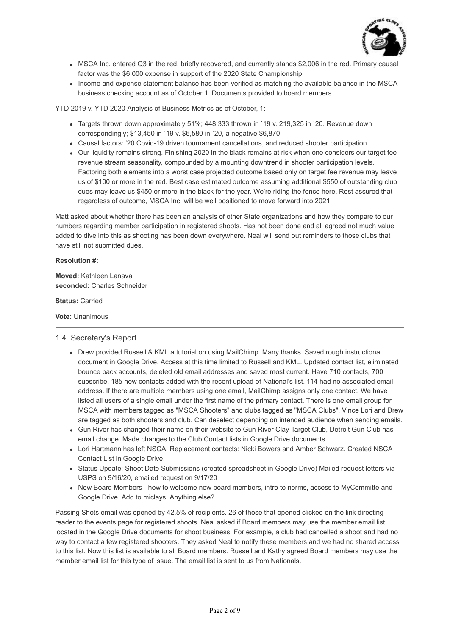

- MSCA Inc. entered Q3 in the red, briefly recovered, and currently stands \$2,006 in the red. Primary causal factor was the \$6,000 expense in support of the 2020 State Championship.
- Income and expense statement balance has been verified as matching the available balance in the MSCA business checking account as of October 1. Documents provided to board members.

YTD 2019 v. YTD 2020 Analysis of Business Metrics as of October, 1:

- Targets thrown down approximately 51%; 448,333 thrown in `19 v. 219,325 in `20. Revenue down correspondingly; \$13,450 in `19 v. \$6,580 in `20, a negative \$6,870.
- Causal factors: '20 Covid-19 driven tournament cancellations, and reduced shooter participation.
- Our liquidity remains strong. Finishing 2020 in the black remains at risk when one considers our target fee revenue stream seasonality, compounded by a mounting downtrend in shooter participation levels. Factoring both elements into a worst case projected outcome based only on target fee revenue may leave us of \$100 or more in the red. Best case estimated outcome assuming additional \$550 of outstanding club dues may leave us \$450 or more in the black for the year. We're riding the fence here. Rest assured that regardless of outcome, MSCA Inc. will be well positioned to move forward into 2021.

Matt asked about whether there has been an analysis of other State organizations and how they compare to our numbers regarding member participation in registered shoots. Has not been done and all agreed not much value added to dive into this as shooting has been down everywhere. Neal will send out reminders to those clubs that have still not submitted dues.

#### **Resolution #:**

**Moved:** Kathleen Lanava **seconded:** Charles Schneider

**Status:** Carried

**Vote:** Unanimous

#### 1.4. Secretary's Report

- Drew provided Russell & KML a tutorial on using MailChimp. Many thanks. Saved rough instructional document in Google Drive. Access at this time limited to Russell and KML. Updated contact list, eliminated bounce back accounts, deleted old email addresses and saved most current. Have 710 contacts, 700 subscribe. 185 new contacts added with the recent upload of National's list. 114 had no associated email address. If there are multiple members using one email, MailChimp assigns only one contact. We have listed all users of a single email under the first name of the primary contact. There is one email group for MSCA with members tagged as "MSCA Shooters" and clubs tagged as "MSCA Clubs". Vince Lori and Drew are tagged as both shooters and club. Can deselect depending on intended audience when sending emails.
- Gun River has changed their name on their website to Gun River Clay Target Club, Detroit Gun Club has email change. Made changes to the Club Contact lists in Google Drive documents.
- Lori Hartmann has left NSCA. Replacement contacts: Nicki Bowers and Amber Schwarz. Created NSCA Contact List in Google Drive.
- Status Update: Shoot Date Submissions (created spreadsheet in Google Drive) Mailed request letters via USPS on 9/16/20, emailed request on 9/17/20
- New Board Members how to welcome new board members, intro to norms, access to MyCommitte and Google Drive. Add to miclays. Anything else?

Passing Shots email was opened by 42.5% of recipients. 26 of those that opened clicked on the link directing reader to the events page for registered shoots. Neal asked if Board members may use the member email list located in the Google Drive documents for shoot business. For example, a club had cancelled a shoot and had no way to contact a few registered shooters. They asked Neal to notify these members and we had no shared access to this list. Now this list is available to all Board members. Russell and Kathy agreed Board members may use the member email list for this type of issue. The email list is sent to us from Nationals.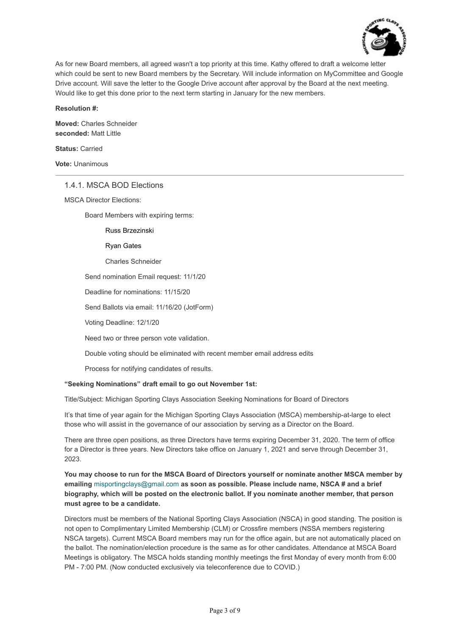

As for new Board members, all agreed wasn't a top priority at this time. Kathy offered to draft a welcome letter which could be sent to new Board members by the Secretary. Will include information on MyCommittee and Google Drive account. Will save the letter to the Google Drive account after approval by the Board at the next meeting. Would like to get this done prior to the next term starting in January for the new members.

#### **Resolution #:**

**Moved:** Charles Schneider **seconded:** Matt Little

**Status:** Carried

**Vote:** Unanimous

#### 1.4.1. MSCA BOD Elections

MSCA Director Elections:

Board Members with expiring terms:

#### Russ Brzezinski

#### Ryan Gates

Charles Schneider

Send nomination Email request: 11/1/20

Deadline for nominations: 11/15/20

Send Ballots via email: 11/16/20 (JotForm)

Voting Deadline: 12/1/20

Need two or three person vote validation.

Double voting should be eliminated with recent member email address edits

Process for notifying candidates of results.

#### **"Seeking Nominations" draft email to go out November 1st:**

Title/Subject: Michigan Sporting Clays Association Seeking Nominations for Board of Directors

It's that time of year again for the Michigan Sporting Clays Association (MSCA) membership-at-large to elect those who will assist in the governance of our association by serving as a Director on the Board.

There are three open positions, as three Directors have terms expiring December 31, 2020. The term of office for a Director is three years. New Directors take office on January 1, 2021 and serve through December 31, 2023.

**You may choose to run for the MSCA Board of Directors yourself or nominate another MSCA member by emailing** misportingclays@gmail.com **as soon as possible. Please include name, NSCA # and a brief biography, which will be posted on the electronic ballot. If you nominate another member, that person must agree to be a candidate.** 

Directors must be members of the National Sporting Clays Association (NSCA) in good standing. The position is not open to Complimentary Limited Membership (CLM) or Crossfire members (NSSA members registering NSCA targets). Current MSCA Board members may run for the office again, but are not automatically placed on the ballot. The nomination/election procedure is the same as for other candidates. Attendance at MSCA Board Meetings is obligatory. The MSCA holds standing monthly meetings the first Monday of every month from 6:00 PM - 7:00 PM. (Now conducted exclusively via teleconference due to COVID.)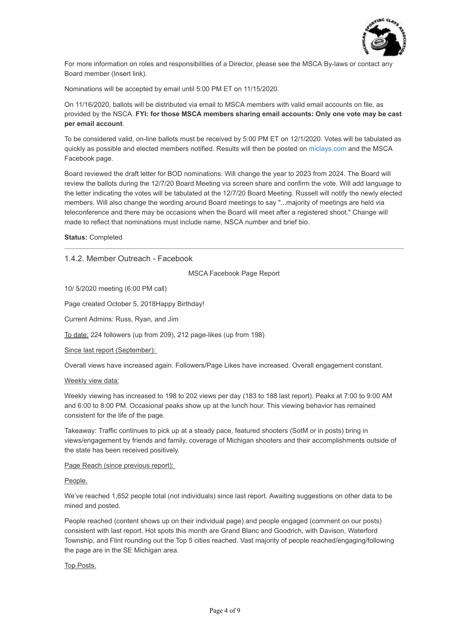

For more information on roles and responsibilities of a Director, please see the MSCA By-laws or contact any Board member (Insert link).

Nominations will be accepted by email until 5:00 PM ET on 11/15/2020.

On 11/16/2020, ballots will be distributed via email to MSCA members with valid email accounts on file, as provided by the NSCA. **FYI: for those MSCA members sharing email accounts: Only one vote may be cast per email account**.

To be considered valid, on-line ballots must be received by 5:00 PM ET on 12/1/2020. Votes will be tabulated as quickly as possible and elected members notified. Results will then be posted on [miclays.com](http://miclays.com/) and the MSCA Facebook page.

Board reviewed the draft letter for BOD nominations. Will change the year to 2023 from 2024. The Board will review the ballots during the 12/7/20 Board Meeting via screen share and confirm the vote. Will add language to the letter indicating the votes will be tabulated at the 12/7/20 Board Meeting. Russell will notify the newly elected members. Will also change the wording around Board meetings to say "...majority of meetings are held via teleconference and there may be occasions when the Board will meet after a registered shoot." Change will made to reflect that nominations must include name, NSCA number and brief bio.

#### **Status:** Completed

### 1.4.2. Member Outreach - Facebook

MSCA Facebook Page Report

10/ 5/2020 meeting (6:00 PM call)

Page created October 5, 2018Happy Birthday!

Current Admins: Russ, Ryan, and Jim

To date: 224 followers (up from 209), 212 page-likes (up from 198)

Since last report (September):

Overall views have increased again. Followers/Page Likes have increased. Overall engagement constant.

#### Weekly view data:

Weekly viewing has increased to 198 to 202 views per day (183 to 188 last report). Peaks at 7:00 to 9:00 AM and 6:00 to 8:00 PM. Occasional peaks show up at the lunch hour. This viewing behavior has remained consistent for the life of the page.

Takeaway: Traffic continues to pick up at a steady pace, featured shooters (SotM or in posts) bring in views/engagement by friends and family, coverage of Michigan shooters and their accomplishments outside of the state has been received positively.

Page Reach (since previous report):

#### People.

We've reached 1,652 people total (not individuals) since last report. Awaiting suggestions on other data to be mined and posted.

People reached (content shows up on their individual page) and people engaged (comment on our posts) consistent with last report. Hot spots this month are Grand Blanc and Goodrich, with Davison, Waterford Township, and Flint rounding out the Top 5 cities reached. Vast majority of people reached/engaging/following the page are in the SE Michigan area.

#### Top Posts.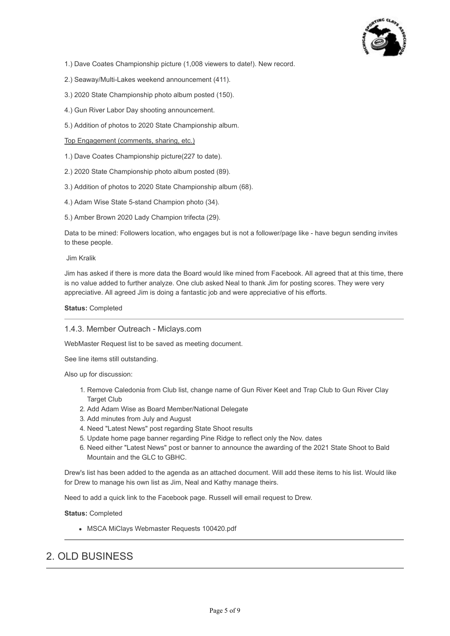

1.) Dave Coates Championship picture (1,008 viewers to date!). New record.

- 2.) Seaway/Multi-Lakes weekend announcement (411).
- 3.) 2020 State Championship photo album posted (150).
- 4.) Gun River Labor Day shooting announcement.
- 5.) Addition of photos to 2020 State Championship album.

Top Engagement (comments, sharing, etc.)

- 1.) Dave Coates Championship picture(227 to date).
- 2.) 2020 State Championship photo album posted (89).
- 3.) Addition of photos to 2020 State Championship album (68).
- 4.) Adam Wise State 5-stand Champion photo (34).
- 5.) Amber Brown 2020 Lady Champion trifecta (29).

Data to be mined: Followers location, who engages but is not a follower/page like - have begun sending invites to these people.

Jim Kralik

Jim has asked if there is more data the Board would like mined from Facebook. All agreed that at this time, there is no value added to further analyze. One club asked Neal to thank Jim for posting scores. They were very appreciative. All agreed Jim is doing a fantastic job and were appreciative of his efforts.

#### **Status:** Completed

#### 1.4.3. Member Outreach - Miclays.com

WebMaster Request list to be saved as meeting document.

See line items still outstanding.

Also up for discussion:

- 1. Remove Caledonia from Club list, change name of Gun River Keet and Trap Club to Gun River Clay Target Club
- 2. Add Adam Wise as Board Member/National Delegate
- 3. Add minutes from July and August
- 4. Need "Latest News" post regarding State Shoot results
- 5. Update home page banner regarding Pine Ridge to reflect only the Nov. dates
- 6. Need either "Latest News" post or banner to announce the awarding of the 2021 State Shoot to Bald Mountain and the GLC to GBHC.

Drew's list has been added to the agenda as an attached document. Will add these items to his list. Would like for Drew to manage his own list as Jim, Neal and Kathy manage theirs.

Need to add a quick link to the Facebook page. Russell will email request to Drew.

**Status:** Completed

MSCA MiClays Webmaster Requests 100420.pdf

# 2. OLD BUSINESS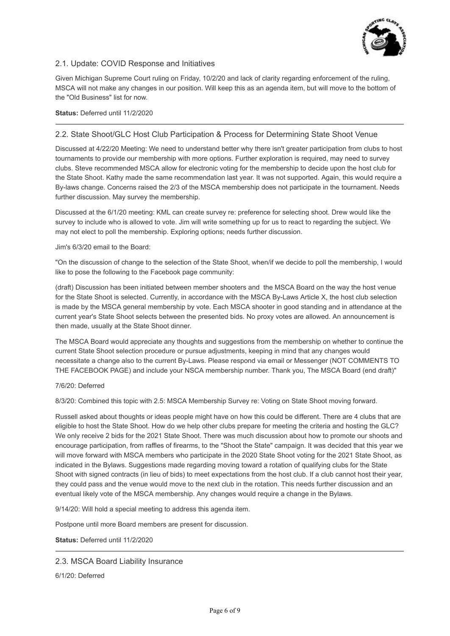

## 2.1. Update: COVID Response and Initiatives

Given Michigan Supreme Court ruling on Friday, 10/2/20 and lack of clarity regarding enforcement of the ruling, MSCA will not make any changes in our position. Will keep this as an agenda item, but will move to the bottom of the "Old Business" list for now.

#### **Status:** Deferred until 11/2/2020

## 2.2. State Shoot/GLC Host Club Participation & Process for Determining State Shoot Venue

Discussed at 4/22/20 Meeting: We need to understand better why there isn't greater participation from clubs to host tournaments to provide our membership with more options. Further exploration is required, may need to survey clubs. Steve recommended MSCA allow for electronic voting for the membership to decide upon the host club for the State Shoot. Kathy made the same recommendation last year. It was not supported. Again, this would require a By-laws change. Concerns raised the 2/3 of the MSCA membership does not participate in the tournament. Needs further discussion. May survey the membership.

Discussed at the 6/1/20 meeting: KML can create survey re: preference for selecting shoot. Drew would like the survey to include who is allowed to vote. Jim will write something up for us to react to regarding the subject. We may not elect to poll the membership. Exploring options; needs further discussion.

#### Jim's 6/3/20 email to the Board:

"On the discussion of change to the selection of the State Shoot, when/if we decide to poll the membership, I would like to pose the following to the Facebook page community:

(draft) Discussion has been initiated between member shooters and the MSCA Board on the way the host venue for the State Shoot is selected. Currently, in accordance with the MSCA By-Laws Article X, the host club selection is made by the MSCA general membership by vote. Each MSCA shooter in good standing and in attendance at the current year's State Shoot selects between the presented bids. No proxy votes are allowed. An announcement is then made, usually at the State Shoot dinner.

The MSCA Board would appreciate any thoughts and suggestions from the membership on whether to continue the current State Shoot selection procedure or pursue adjustments, keeping in mind that any changes would necessitate a change also to the current By-Laws. Please respond via email or Messenger (NOT COMMENTS TO THE FACEBOOK PAGE) and include your NSCA membership number. Thank you, The MSCA Board (end draft)"

#### 7/6/20: Deferred

8/3/20: Combined this topic with 2.5: MSCA Membership Survey re: Voting on State Shoot moving forward.

Russell asked about thoughts or ideas people might have on how this could be different. There are 4 clubs that are eligible to host the State Shoot. How do we help other clubs prepare for meeting the criteria and hosting the GLC? We only receive 2 bids for the 2021 State Shoot. There was much discussion about how to promote our shoots and encourage participation, from raffles of firearms, to the "Shoot the State" campaign. It was decided that this year we will move forward with MSCA members who participate in the 2020 State Shoot voting for the 2021 State Shoot, as indicated in the Bylaws. Suggestions made regarding moving toward a rotation of qualifying clubs for the State Shoot with signed contracts (in lieu of bids) to meet expectations from the host club. If a club cannot host their year, they could pass and the venue would move to the next club in the rotation. This needs further discussion and an eventual likely vote of the MSCA membership. Any changes would require a change in the Bylaws.

9/14/20: Will hold a special meeting to address this agenda item.

Postpone until more Board members are present for discussion.

**Status:** Deferred until 11/2/2020

#### 2.3. MSCA Board Liability Insurance

6/1/20: Deferred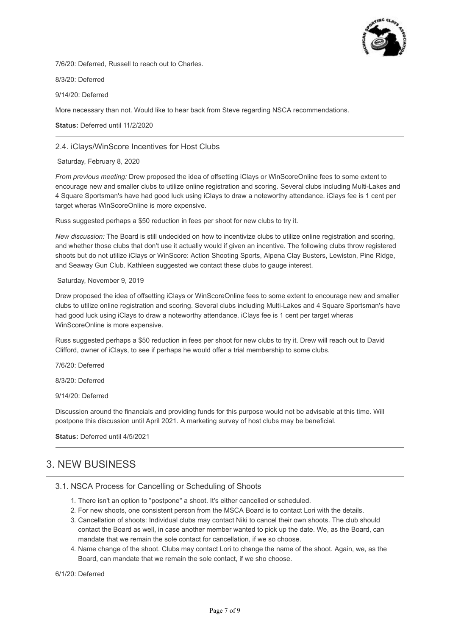

7/6/20: Deferred, Russell to reach out to Charles.

8/3/20: Deferred

9/14/20: Deferred

More necessary than not. Would like to hear back from Steve regarding NSCA recommendations.

**Status:** Deferred until 11/2/2020

#### 2.4. iClays/WinScore Incentives for Host Clubs

Saturday, February 8, 2020

*From previous meeting:* Drew proposed the idea of offsetting iClays or WinScoreOnline fees to some extent to encourage new and smaller clubs to utilize online registration and scoring. Several clubs including Multi-Lakes and 4 Square Sportsman's have had good luck using iClays to draw a noteworthy attendance. iClays fee is 1 cent per target wheras WinScoreOnline is more expensive.

Russ suggested perhaps a \$50 reduction in fees per shoot for new clubs to try it.

*New discussion:* The Board is still undecided on how to incentivize clubs to utilize online registration and scoring, and whether those clubs that don't use it actually would if given an incentive. The following clubs throw registered shoots but do not utilize iClays or WinScore: Action Shooting Sports, Alpena Clay Busters, Lewiston, Pine Ridge, and Seaway Gun Club. Kathleen suggested we contact these clubs to gauge interest.

#### Saturday, November 9, 2019

Drew proposed the idea of offsetting iClays or WinScoreOnline fees to some extent to encourage new and smaller clubs to utilize online registration and scoring. Several clubs including Multi-Lakes and 4 Square Sportsman's have had good luck using iClays to draw a noteworthy attendance. iClays fee is 1 cent per target wheras WinScoreOnline is more expensive.

Russ suggested perhaps a \$50 reduction in fees per shoot for new clubs to try it. Drew will reach out to David Clifford, owner of iClays, to see if perhaps he would offer a trial membership to some clubs.

7/6/20: Deferred

8/3/20: Deferred

9/14/20: Deferred

Discussion around the financials and providing funds for this purpose would not be advisable at this time. Will postpone this discussion until April 2021. A marketing survey of host clubs may be beneficial.

**Status:** Deferred until 4/5/2021

## 3. NEW BUSINESS

#### 3.1. NSCA Process for Cancelling or Scheduling of Shoots

- 1. There isn't an option to "postpone" a shoot. It's either cancelled or scheduled.
- 2. For new shoots, one consistent person from the MSCA Board is to contact Lori with the details.
- 3. Cancellation of shoots: Individual clubs may contact Niki to cancel their own shoots. The club should contact the Board as well, in case another member wanted to pick up the date. We, as the Board, can mandate that we remain the sole contact for cancellation, if we so choose.
- 4. Name change of the shoot. Clubs may contact Lori to change the name of the shoot. Again, we, as the Board, can mandate that we remain the sole contact, if we sho choose.

6/1/20: Deferred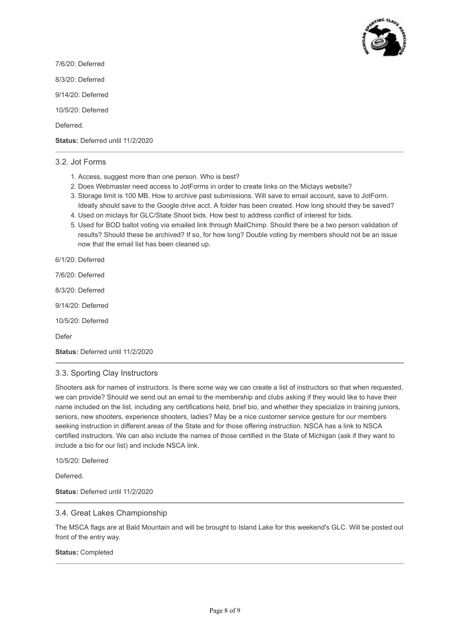

7/6/20: Deferred 8/3/20: Deferred 9/14/20: Deferred 10/5/20: Deferred Deferred. **Status:** Deferred until 11/2/2020

### 3.2. Jot Forms

- 1. Access, suggest more than one person. Who is best?
- 2. Does Webmaster need access to JotForms in order to create links on the Miclays website?
- 3. Storage limit is 100 MB. How to archive past submissions. Will save to email account, save to JotForm. Ideally should save to the Google drive acct. A folder has been created. How long should they be saved?
- 4. Used on miclays for GLC/State Shoot bids. How best to address conflict of interest for bids.
- 5. Used for BOD ballot voting via emailed link through MailChimp. Should there be a two person validation of results? Should these be archived? If so, for how long? Double voting by members should not be an issue now that the email list has been cleaned up.

6/1/20: Deferred

7/6/20: Deferred

8/3/20: Deferred

9/14/20: Deferred

10/5/20: Deferred

Defer

**Status:** Deferred until 11/2/2020

#### 3.3. Sporting Clay Instructors

Shooters ask for names of instructors. Is there some way we can create a list of instructors so that when requested, we can provide? Should we send out an email to the membership and clubs asking if they would like to have their name included on the list, including any certifications held, brief bio, and whether they specialize in training juniors, seniors, new shooters, experience shooters, ladies? May be a nice customer service gesture for our members seeking instruction in different areas of the State and for those offering instruction. NSCA has a link to NSCA certified instructors. We can also include the names of those certified in the State of Michigan (ask if they want to include a bio for our list) and include NSCA link.

10/5/20: Deferred

Deferred.

**Status:** Deferred until 11/2/2020

#### 3.4. Great Lakes Championship

The MSCA flags are at Bald Mountain and will be brought to Island Lake for this weekend's GLC. Will be posted out front of the entry way.

#### **Status:** Completed